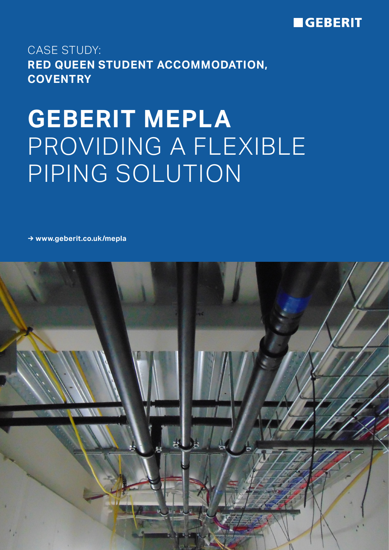

## CASE STUDY: **RED QUEEN STUDENT ACCOMMODATION, COVENTRY**

# **GEBERIT MEPLA** PROVIDING A FLEXIBLE PIPING SOLUTION

**→ www.geberit.co.uk/mepla**

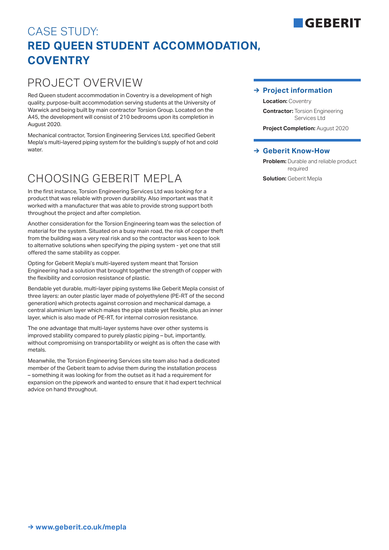# CASE STUDY: **RED QUEEN STUDENT ACCOMMODATION, COVENTRY**

### PROJECT OVERVIEW

Red Queen student accommodation in Coventry is a development of high quality, purpose-built accommodation serving students at the University of Warwick and being built by main contractor Torsion Group. Located on the A45, the development will consist of 210 bedrooms upon its completion in August 2020.

Mechanical contractor, Torsion Engineering Services Ltd, specified Geberit Mepla's multi-layered piping system for the building's supply of hot and cold water

## CHOOSING GEBERIT MEPLA

In the first instance, Torsion Engineering Services Ltd was looking for a product that was reliable with proven durability. Also important was that it worked with a manufacturer that was able to provide strong support both throughout the project and after completion.

Another consideration for the Torsion Engineering team was the selection of material for the system. Situated on a busy main road, the risk of copper theft from the building was a very real risk and so the contractor was keen to look to alternative solutions when specifying the piping system - yet one that still offered the same stability as copper.

Opting for Geberit Mepla's multi-layered system meant that Torsion Engineering had a solution that brought together the strength of copper with the flexibility and corrosion resistance of plastic.

Bendable yet durable, multi-layer piping systems like Geberit Mepla consist of three layers: an outer plastic layer made of polyethylene (PE-RT of the second generation) which protects against corrosion and mechanical damage, a central aluminium layer which makes the pipe stable yet flexible, plus an inner layer, which is also made of PE-RT, for internal corrosion resistance.

The one advantage that multi-layer systems have over other systems is improved stability compared to purely plastic piping – but, importantly, without compromising on transportability or weight as is often the case with metals.

Meanwhile, the Torsion Engineering Services site team also had a dedicated member of the Geberit team to advise them during the installation process – something it was looking for from the outset as it had a requirement for expansion on the pipework and wanted to ensure that it had expert technical advice on hand throughout.

### **→ Project information**

**Location:** Coventry

**Contractor:** Torsion Engineering Services Ltd

**Project Completion:** August 2020

#### **→ Geberit Know-How**

**Problem:** Durable and reliable product required

**Solution: Geberit Mepla** 

# **GERERIT**